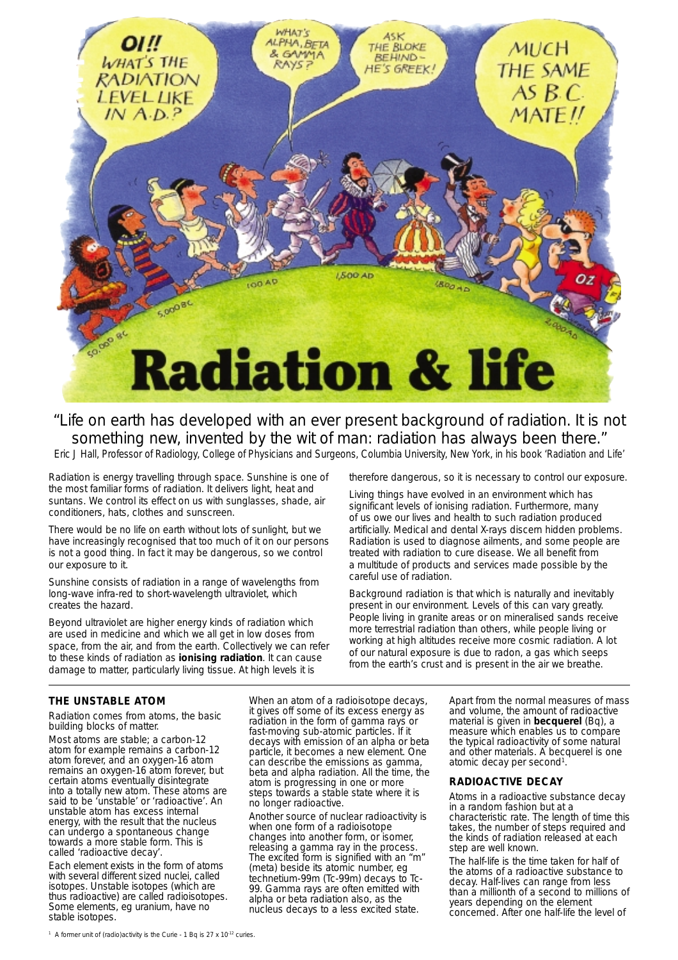

"Life on earth has developed with an ever present background of radiation. It is not something new, invented by the wit of man: radiation has always been there." Eric J Hall, Professor of Radiology, College of Physicians and Surgeons, Columbia University, New York, in his book '*Radiation and Life*'

Radiation is energy travelling through space. Sunshine is one of the most familiar forms of radiation. It delivers light, heat and suntans. We control its effect on us with sunglasses, shade, air conditioners, hats, clothes and sunscreen.

There would be no life on earth without lots of sunlight, but we have increasingly recognised that too much of it on our persons is not a good thing. In fact it may be dangerous, so we control our exposure to it.

Sunshine consists of radiation in a range of wavelengths from long-wave infra-red to short-wavelength ultraviolet, which creates the hazard.

Beyond ultraviolet are higher energy kinds of radiation which are used in medicine and which we all get in low doses from space, from the air, and from the earth. Collectively we can refer to these kinds of radiation as **ionising radiation**. It can cause damage to matter, particularly living tissue. At high levels it is

therefore dangerous, so it is necessary to control our exposure.

Living things have evolved in an environment which has significant levels of ionising radiation. Furthermore, many of us owe our lives and health to such radiation produced artificially. Medical and dental X-rays discern hidden problems. Radiation is used to diagnose ailments, and some people are treated with radiation to cure disease. We all benefit from a multitude of products and services made possible by the careful use of radiation.

Background radiation is that which is naturally and inevitably present in our environment. Levels of this can vary greatly. People living in granite areas or on mineralised sands receive more terrestrial radiation than others, while people living or working at high altitudes receive more cosmic radiation. A lot of our natural exposure is due to radon, a gas which seeps from the earth's crust and is present in the air we breathe.

# **THE UNSTABLE ATOM**

Radiation comes from atoms, the basic building blocks of matter.

Most atoms are stable; a carbon-12 atom for example remains a carbon-12 atom forever, and an oxygen-16 atom remains an oxygen-16 atom forever, but certain atoms eventually disintegrate into a totally new atom. These atoms are said to be 'unstable' or 'radioactive'. An unstable atom has excess internal energy, with the result that the nucleus can undergo a spontaneous change towards a more stable form. This is called 'radioactive decay'.

Each element exists in the form of atoms with several different sized nuclei, called isotopes. Unstable isotopes (which are thus radioactive) are called radioisotopes. Some elements, eg uranium, have no stable isotopes.

When an atom of a radioisotope decays, it gives off some of its excess energy as radiation in the form of gamma rays or fast-moving sub-atomic particles. If it decays with emission of an alpha or beta particle, it becomes a new element. One can describe the emissions as gamma, beta and alpha radiation. All the time, the atom is progressing in one or more steps towards a stable state where it is no longer radioactive.

Another source of nuclear radioactivity is when one form of a radioisotope changes into another form, or isomer, releasing a gamma ray in the process. The excited form is signified with an "m" (meta) beside its atomic number, eg technetium-99m (Tc-99m) decays to Tc-99. Gamma rays are often emitted with alpha or beta radiation also, as the nucleus decays to a less excited state.

Apart from the normal measures of mass and volume, the amount of radioactive material is given in **becquerel** (Bq), a measure which enables us to compare the typical radioactivity of some natural and other materials. A becquerel is one atomic decay per second<sup>1</sup>.

## **RADIOACTIVE DECAY**

Atoms in a radioactive substance decay in a random fashion but at a characteristic rate. The length of time this takes, the number of steps required and the kinds of radiation released at each step are well known.

The half-life is the time taken for half of the atoms of a radioactive substance to decay. Half-lives can range from less than a millionth of a second to millions of years depending on the element concerned. After one half-life the level of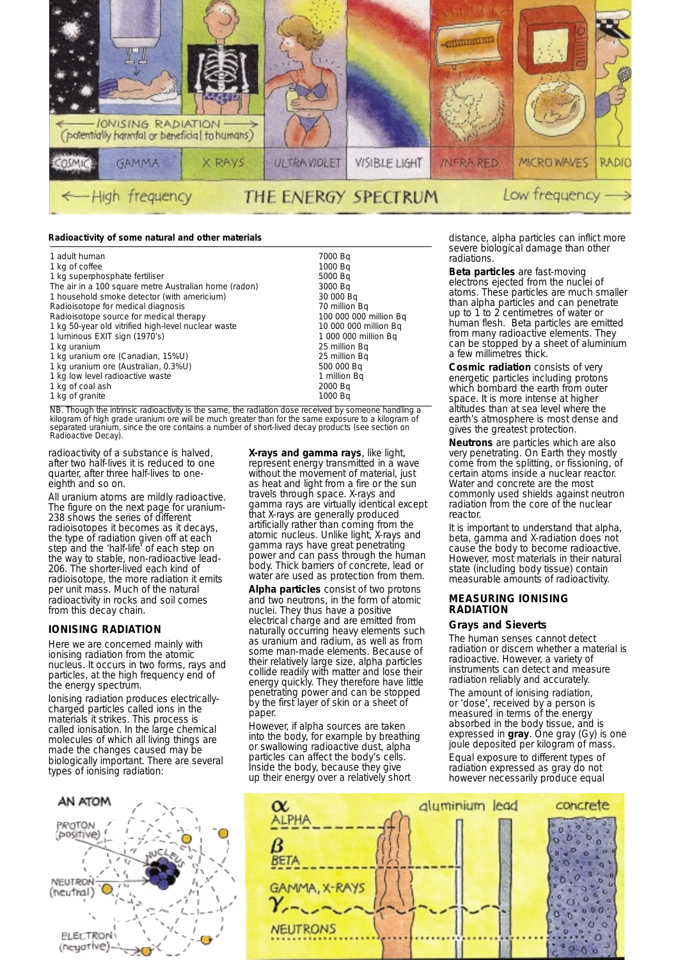

#### **Radioactivity of some natural and other materials**

| 1 adult human                                         | 7000 Bg                |  |
|-------------------------------------------------------|------------------------|--|
| 1 kg of coffee                                        | 1000 Bg                |  |
| 1 kg superphosphate fertiliser                        | 5000 Bg                |  |
| The air in a 100 square metre Australian home (radon) | 3000 Bg                |  |
| 1 household smoke detector (with americium)           | 30 000 Bq              |  |
| Radioisotope for medical diagnosis                    | 70 million Bq          |  |
| Radioisotope source for medical therapy               | 100 000 000 million Bq |  |
| 1 kg 50-year old vitrified high-level nuclear waste   | 10 000 000 million Bg  |  |
| 1 luminous EXIT sign (1970's)                         | 1 000 000 million Bq   |  |
| 1 kg uranium                                          | 25 million Bg          |  |
| 1 kg uranium ore (Canadian, 15%U)                     | 25 million Bg          |  |
| 1 kg uranium ore (Australian, 0.3%U)                  | 500 000 Bg             |  |
| 1 kg low level radioactive waste                      | 1 million Bg           |  |
| 1 kg of coal ash                                      | 2000 Bg                |  |
| 1 kg of granite                                       | 1000 Ba                |  |

NB. Though the intrinsic radioactivity is the same, the radiation dose received by someone handling a kilogram of high grade uranium ore will be much greater than for the same exposure to a kilogram of separated uranium, since the ore contains a number of short-lived decay products (see section on Radioactive Decay).

radioactivity of a substance is halved, after two half-lives it is reduced to one quarter, after three half-lives to oneeighth and so on.

All uranium atoms are mildly radioactive. The figure on the next page for uranium-238 shows the series of different radioisotopes it becomes as it decays, the type of radiation given off at each step and the 'half-life' of each step on the way to stable, non-radioactive lead-206. The shorter-lived each kind of radioisotope, the more radiation it emits per unit mass. Much of the natural radioactivity in rocks and soil comes from this decay chain.

## **IONISING RADIATION**

Here we are concerned mainly with ionising radiation from the atomic nucleus. It occurs in two forms, rays and particles, at the high frequency end of the energy spectrum.

Ionising radiation produces electricallycharged particles called ions in the materials it strikes. This process is called ionisation. In the large chemical molecules of which all living things are made the changes caused may be biologically important. There are several types of ionising radiation:



**X-rays and gamma rays**, like light, represent energy transmitted in a wave without the movement of material, just as heat and light from a fire or the sun travels through space. X-rays and gamma rays are virtually identical except that X-rays are generally produced artificially rather than coming from the atomic nucleus. Unlike light, X-rays and gamma rays have great penetrating power and can pass through the human body. Thick barriers of concrete, lead or water are used as protection from them.

**Alpha particles** consist of two protons and two neutrons, in the form of atomic nuclei. They thus have a positive electrical charge and are emitted from naturally occurring heavy elements such as uranium and radium, as well as from some man-made elements. Because of their relatively large size, alpha particles collide readily with matter and lose their energy quickly. They therefore have little penetrating power and can be stopped by the first layer of skin or a sheet of paper.

However, if alpha sources are taken into the body, for example by breathing or swallowing radioactive dust, alpha particles can affect the body's cells. Inside the body, because they give up their energy over a relatively short

distance, alpha particles can inflict more severe biological damage than other radiations.

**Beta particles** are fast-moving electrons ejected from the nuclei of atoms. These particles are much smaller than alpha particles and can penetrate up to 1 to 2 centimetres of water or human flesh. Beta particles are emitted from many radioactive elements. They can be stopped by a sheet of aluminium a few millimetres thick.

**Cosmic radiation** consists of very energetic particles including protons which bombard the earth from outer space. It is more intense at higher altitudes than at sea level where the earth's atmosphere is most dense and gives the greatest protection.

**Neutrons** are particles which are also very penetrating. On Earth they mostly come from the splitting, or fissioning, of certain atoms inside a nuclear reactor. Water and concrete are the most commonly used shields against neutron radiation from the core of the nuclear reactor.

It is important to understand that alpha, beta, gamma and X-radiation does not cause the body to become radioactive. However, most materials in their natural state (including body tissue) contain measurable amounts of radioactivity.

#### **MEASURING IONISING RADIATION**

#### **Grays and Sieverts**

The human senses cannot detect radiation or discern whether a material is radioactive. However, a variety of instruments can detect and measure radiation reliably and accurately.

The amount of ionising radiation, or 'dose', received by a person is measured in terms of the energy absorbed in the body tissue, and is expressed in **gray**. One gray (Gy) is one joule deposited per kilogram of mass. Equal exposure to different types of

radiation expressed as gray do not however necessarily produce equal

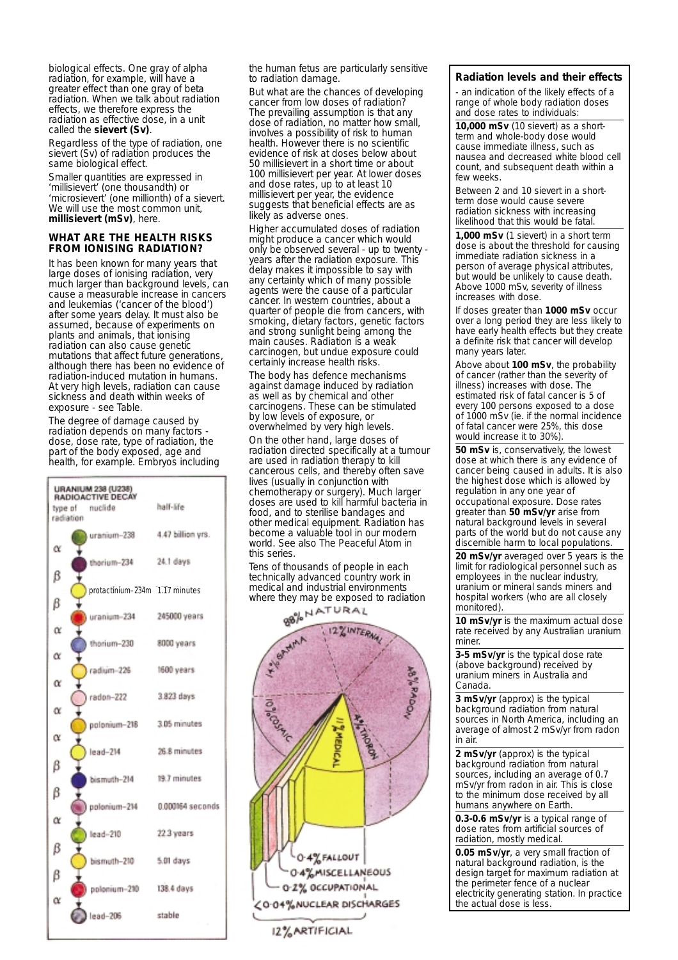biological effects. One gray of alpha radiation, for example, will have a greater effect than one gray of beta radiation. When we talk about radiation effects, we therefore express the radiation as effective dose, in a unit called the **sievert (Sv)**.

Regardless of the type of radiation, one sievert (Sv) of radiation produces the same biological effect.

Smaller quantities are expressed in 'millisievert' (one thousandth) or 'microsievert' (one millionth) of a sievert. We will use the most common unit, **millisievert (mSv)**, here.

## **WHAT ARE THE HEALTH RISKS FROM IONISING RADIATION?**

It has been known for many years that large doses of ionising radiation, very much larger than background levels, can cause a measurable increase in cancers and leukemias ('cancer of the blood') after some years delay. It must also be assumed, because of experiments on plants and animals, that ionising radiation can also cause genetic mutations that affect future generations, although there has been no evidence of radiation-induced mutation in humans. At very high levels, radiation can cause sickness and death within weeks of exposure - see Table.

The degree of damage caused by radiation depends on many factors dose, dose rate, type of radiation, the part of the body exposed, age and health, for example. Embryos including

| <b>URANIUM 238 (U238)</b><br>RADIOACTIVE DECAY |           |                                |                   |  |
|------------------------------------------------|-----------|--------------------------------|-------------------|--|
|                                                |           | type of nuclide                | half-life         |  |
|                                                | radiation |                                |                   |  |
|                                                |           | uranium-238                    | 4.47 billion yrs. |  |
| α                                              |           | thorium-234                    | 24.1 days         |  |
| ß                                              |           | protactinium-234m 1.17 minutes |                   |  |
| β                                              |           | uranium-234                    | 245000 years      |  |
| α                                              |           | thorium-230                    | 8000 years        |  |
| α<br>α                                         |           | radium-226                     | 1600 years        |  |
| α                                              |           | radon-222                      | 3.823 days        |  |
| α                                              |           | polonium-218                   | 3.05 minutes      |  |
|                                                |           | lead-214                       | 26.8 minutes      |  |
| β<br>β                                         |           | bismuth-214                    | 19.7 minutes      |  |
| α                                              |           | polonium-214                   | 0.000164 seconds  |  |
|                                                |           | lead-210                       | 22.3 years        |  |
| β                                              |           | bismuth-210                    | 5.01 days         |  |
| β<br>α                                         |           | polonium-210 138.4 days        |                   |  |
|                                                |           | $lead-206$                     | stable            |  |

the human fetus are particularly sensitive to radiation damage.

But what are the chances of developing cancer from low doses of radiation? The prevailing assumption is that any dose of radiation, no matter how small, involves a possibility of risk to human health. However there is no scientific evidence of risk at doses below about 50 millisievert in a short time or about 100 millisievert per year. At lower doses and dose rates, up to at least 10 millisievert per year, the evidence suggests that beneficial effects are as likely as adverse ones.

Higher accumulated doses of radiation might produce a cancer which would only be observed several - up to twenty years after the radiation exposure. This delay makes it impossible to say with any certainty which of many possible agents were the cause of a particular cancer. In western countries, about a quarter of people die from cancers, with smoking, dietary factors, genetic factors and strong sunlight being among the main causes. Radiation is a weak carcinogen, but undue exposure could certainly increase health risks.

The body has defence mechanisms against damage induced by radiation as well as by chemical and other carcinogens. These can be stimulated by low levels of exposure, or overwhelmed by very high levels. On the other hand, large doses of radiation directed specifically at a tumour are used in radiation therapy to kill cancerous cells, and thereby often save lives (usually in conjunction with chemotherapy or surgery). Much larger doses are used to kill harmful bacteria in food, and to sterilise bandages and other medical equipment. Radiation has become a valuable tool in our modern world. See also *The Peaceful Atom* in this series.

Tens of thousands of people in each technically advanced country work in medical and industrial environments where they may be exposed to radiation



## **Radiation levels and their effects**

- an indication of the likely effects of a range of whole body radiation doses and dose rates to individuals:

**10,000 mSv** (10 sievert) as a shortterm and whole-body dose would cause immediate illness, such as nausea and decreased white blood cell count, and subsequent death within a few weeks.

Between 2 and 10 sievert in a shortterm dose would cause severe radiation sickness with increasing likelihood that this would be fatal.

**1,000 mSv** (1 sievert) in a short term dose is about the threshold for causing immediate radiation sickness in a person of average physical attributes, but would be unlikely to cause death. Above 1000 mSv, severity of illness increases with dose.

If doses greater than **1000 mSv** occur over a long period they are less likely to have early health effects but they create a definite risk that cancer will develop many years later.

Above about **100 mSv**, the probability of cancer (rather than the severity of illness) increases with dose. The estimated risk of fatal cancer is 5 of every 100 persons exposed to a dose of 1000 mSv (ie. if the normal incidence of fatal cancer were 25%, this dose would increase it to 30%).

**50 mSv** is, conservatively, the lowest dose at which there is any evidence of cancer being caused in adults. It is also the highest dose which is allowed by regulation in any one year of occupational exposure. Dose rates greater than **50 mSv/yr** arise from natural background levels in several parts of the world but do not cause any discernible harm to local populations.

**20 mSv/yr** averaged over 5 years is the limit for radiological personnel such as employees in the nuclear industry, uranium or mineral sands miners and hospital workers (who are all closely monitored).

**10 mSv/yr** is the maximum actual dose rate received by any Australian uranium miner

**3-5 mSv/yr** is the typical dose rate (above background) received by uranium miners in Australia and Canada.

**3 mSv/yr** (approx) is the typical background radiation from natural sources in North America, including an average of almost 2 mSv/yr from radon in air.

**2 mSv/yr** (approx) is the typical background radiation from natural sources, including an average of 0.7 mSv/yr from radon in air. This is close to the minimum dose received by all humans anywhere on Earth.

**0.3-0.6 mSv/yr** is a typical range of dose rates from artificial sources of radiation, mostly medical.

**0.05 mSv/yr**, a very small fraction of natural background radiation, is the design target for maximum radiation at the perimeter fence of a nuclear electricity generating station. In practice the actual dose is less.